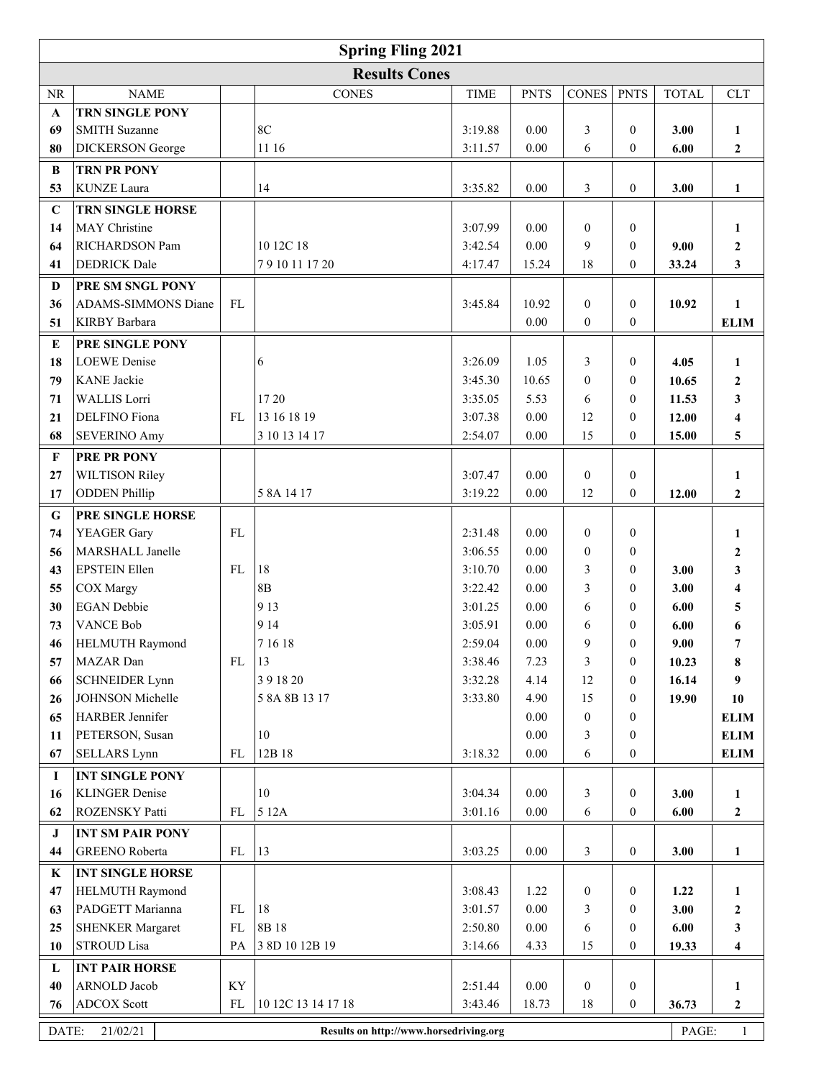| <b>Spring Fling 2021</b>                                    |                            |               |                    |             |             |                  |                  |              |                         |
|-------------------------------------------------------------|----------------------------|---------------|--------------------|-------------|-------------|------------------|------------------|--------------|-------------------------|
| <b>Results Cones</b>                                        |                            |               |                    |             |             |                  |                  |              |                         |
| <b>NR</b>                                                   | <b>NAME</b>                |               | <b>CONES</b>       | <b>TIME</b> | <b>PNTS</b> | <b>CONES</b>     | <b>PNTS</b>      | <b>TOTAL</b> | <b>CLT</b>              |
| $\mathbf{A}$                                                | <b>TRN SINGLE PONY</b>     |               |                    |             |             |                  |                  |              |                         |
| 69                                                          | <b>SMITH Suzanne</b>       |               | 8 <sup>C</sup>     | 3:19.88     | 0.00        | 3                | $\overline{0}$   | 3.00         | 1                       |
| 80                                                          | <b>DICKERSON</b> George    |               | 11 16              | 3:11.57     | 0.00        | 6                | $\overline{0}$   | 6.00         | $\mathbf{2}$            |
| $\bf{B}$                                                    | TRN PR PONY                |               |                    |             |             |                  |                  |              |                         |
| 53                                                          | <b>KUNZE</b> Laura         |               | 14                 | 3:35.82     | 0.00        | 3                | $\boldsymbol{0}$ | 3.00         | $\mathbf{1}$            |
| $\mathbf C$                                                 | TRN SINGLE HORSE           |               |                    |             |             |                  |                  |              |                         |
| 14                                                          | MAY Christine              |               |                    | 3:07.99     | 0.00        | $\mathbf{0}$     | $\overline{0}$   |              | 1                       |
| 64                                                          | RICHARDSON Pam             |               | 10 12C 18          | 3:42.54     | 0.00        | 9                | $\overline{0}$   | 9.00         | $\boldsymbol{2}$        |
| 41                                                          | <b>DEDRICK</b> Dale        |               | 7910111720         | 4:17.47     | 15.24       | 18               | $\overline{0}$   | 33.24        | $\mathbf{3}$            |
| $\mathbf D$                                                 | PRE SM SNGL PONY           |               |                    |             |             |                  |                  |              |                         |
| 36                                                          | <b>ADAMS-SIMMONS Diane</b> | <b>FL</b>     |                    | 3:45.84     | 10.92       | $\mathbf{0}$     | $\mathbf{0}$     | 10.92        | 1                       |
| 51                                                          | <b>KIRBY</b> Barbara       |               |                    |             | 0.00        | $\boldsymbol{0}$ | $\theta$         |              | <b>ELIM</b>             |
| ${\bf E}$                                                   | PRE SINGLE PONY            |               |                    |             |             |                  |                  |              |                         |
| 18                                                          | LOEWE Denise               |               | 6                  | 3:26.09     | 1.05        | 3                | $\theta$         | 4.05         | $\mathbf{1}$            |
| 79                                                          | <b>KANE</b> Jackie         |               |                    | 3:45.30     | 10.65       | $\mathbf{0}$     | $\Omega$         | 10.65        | $\boldsymbol{2}$        |
| 71                                                          | <b>WALLIS Lorri</b>        |               | 17 20              | 3:35.05     | 5.53        | 6                | $\Omega$         | 11.53        | 3                       |
| 21                                                          | <b>DELFINO</b> Fiona       | FL            | 13 16 18 19        | 3:07.38     | 0.00        | 12               | $\overline{0}$   | 12.00        | 4                       |
| 68                                                          | <b>SEVERINO Amy</b>        |               | 3 10 13 14 17      | 2:54.07     | 0.00        | 15               | $\theta$         | 15.00        | $\overline{\mathbf{5}}$ |
| $\mathbf{F}$                                                | PRE PR PONY                |               |                    |             |             |                  |                  |              |                         |
| 27                                                          | <b>WILTISON Riley</b>      |               |                    | 3:07.47     | 0.00        | $\boldsymbol{0}$ | $\mathbf{0}$     |              | 1                       |
| 17                                                          | <b>ODDEN</b> Phillip       |               | 5 8 A 14 17        | 3:19.22     | 0.00        | 12               | $\overline{0}$   | 12.00        | $\mathbf{2}$            |
| ${\bf G}$                                                   | PRE SINGLE HORSE           |               |                    |             |             |                  |                  |              |                         |
| 74                                                          | YEAGER Gary                | $\mathbf{FL}$ |                    | 2:31.48     | 0.00        | $\mathbf{0}$     | $\boldsymbol{0}$ |              | 1                       |
| 56                                                          | MARSHALL Janelle           |               |                    | 3:06.55     | 0.00        | $\boldsymbol{0}$ | $\mathbf{0}$     |              | $\boldsymbol{2}$        |
| 43                                                          | <b>EPSTEIN Ellen</b>       | <b>FL</b>     | 18                 | 3:10.70     | 0.00        | 3                | $\Omega$         | 3.00         | 3                       |
| 55                                                          | COX Margy                  |               | $8\mathrm{B}$      | 3:22.42     | 0.00        | 3                | $\Omega$         | 3.00         | 4                       |
| 30                                                          | EGAN Debbie                |               | 9 1 3              | 3:01.25     | 0.00        | 6                | $\Omega$         | 6.00         | 5                       |
| 73                                                          | <b>VANCE Bob</b>           |               | 9 1 4              | 3:05.91     | 0.00        | 6                | $\theta$         | 6.00         | 6                       |
| 46                                                          | HELMUTH Raymond            |               | 7 16 18            | 2:59.04     | $0.00\,$    | 9                | $\overline{0}$   | 9.00         | 7                       |
| 57                                                          | MAZAR Dan                  | $\rm FL$      | 13                 | 3:38.46     | 7.23        | 3                | $\boldsymbol{0}$ | 10.23        | $\bf 8$                 |
| 66                                                          | <b>SCHNEIDER Lynn</b>      |               | 391820             | 3:32.28     | 4.14        | 12               | $\theta$         | 16.14        | 9                       |
| 26                                                          | JOHNSON Michelle           |               | 5 8A 8B 13 17      | 3:33.80     | 4.90        | 15               | $\mathbf{0}$     | 19.90        | 10                      |
| 65                                                          | <b>HARBER Jennifer</b>     |               |                    |             | $0.00\,$    | $\mathbf{0}$     | $\overline{0}$   |              | <b>ELIM</b>             |
| 11                                                          | PETERSON, Susan            |               | $10\,$             |             | 0.00        | 3                | $\boldsymbol{0}$ |              | <b>ELIM</b>             |
| 67                                                          | <b>SELLARS</b> Lynn        | <b>FL</b>     | 12B 18             | 3:18.32     | $0.00\,$    | 6                | $\boldsymbol{0}$ |              | <b>ELIM</b>             |
| $\bf{I}$                                                    | <b>INT SINGLE PONY</b>     |               |                    |             |             |                  |                  |              |                         |
| 16                                                          | <b>KLINGER</b> Denise      |               | 10                 | 3:04.34     | 0.00        | 3                | $\overline{0}$   | 3.00         | 1                       |
| 62                                                          | <b>ROZENSKY Patti</b>      | FL            | 5 12A              | 3:01.16     | $0.00\,$    | 6                | $\mathbf{0}$     | 6.00         | $\boldsymbol{2}$        |
| J                                                           | <b>INT SM PAIR PONY</b>    |               |                    |             |             |                  |                  |              |                         |
| 44                                                          | <b>GREENO</b> Roberta      | ${\rm FL}$    | 13                 | 3:03.25     | 0.00        | 3                | $\boldsymbol{0}$ | 3.00         | $\mathbf{1}$            |
| $\mathbf K$                                                 | <b>INT SINGLE HORSE</b>    |               |                    |             |             |                  |                  |              |                         |
| 47                                                          | <b>HELMUTH Raymond</b>     |               |                    | 3:08.43     | 1.22        | $\mathbf{0}$     | $\boldsymbol{0}$ | 1.22         | 1                       |
| 63                                                          | PADGETT Marianna           | FL            | 18                 | 3:01.57     | 0.00        | 3                | $\mathbf{0}$     | 3.00         | $\boldsymbol{2}$        |
| 25                                                          | <b>SHENKER Margaret</b>    | $\rm FL$      | 8B 18              | 2:50.80     | $0.00\,$    | 6                | $\overline{0}$   | 6.00         | $\mathbf{3}$            |
| 10                                                          | <b>STROUD Lisa</b>         | PA            | 3 8D 10 12B 19     | 3:14.66     | 4.33        | 15               | $\overline{0}$   | 19.33        | $\overline{\mathbf{4}}$ |
| L                                                           | <b>INT PAIR HORSE</b>      |               |                    |             |             |                  |                  |              |                         |
| 40                                                          | ARNOLD Jacob               | KY            |                    | 2:51.44     | $0.00\,$    | $\boldsymbol{0}$ | $\boldsymbol{0}$ |              | 1                       |
| 76                                                          | <b>ADCOX Scott</b>         | ${\rm FL}$    | 10 12C 13 14 17 18 | 3:43.46     | 18.73       | 18               | $\boldsymbol{0}$ | 36.73        | $\boldsymbol{2}$        |
| DATE:<br>21/02/21<br>Results on http://www.horsedriving.org |                            |               |                    |             |             |                  |                  | PAGE:        | $\mathbf{1}$            |